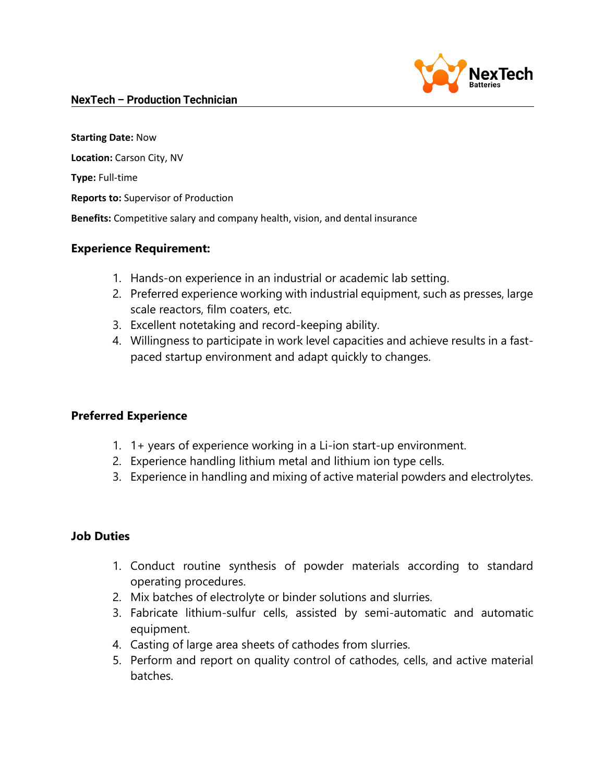

#### **NexTech - Production Technician**

**Starting Date:** Now **Location:** Carson City, NV

**Type:** Full-time

**Reports to:** Supervisor of Production

**Benefits:** Competitive salary and company health, vision, and dental insurance

### **Experience Requirement:**

- 1. Hands-on experience in an industrial or academic lab setting.
- 2. Preferred experience working with industrial equipment, such as presses, large scale reactors, film coaters, etc.
- 3. Excellent notetaking and record-keeping ability.
- 4. Willingness to participate in work level capacities and achieve results in a fastpaced startup environment and adapt quickly to changes.

# **Preferred Experience**

- 1. 1+ years of experience working in a Li-ion start-up environment.
- 2. Experience handling lithium metal and lithium ion type cells.
- 3. Experience in handling and mixing of active material powders and electrolytes.

#### **Job Duties**

- 1. Conduct routine synthesis of powder materials according to standard operating procedures.
- 2. Mix batches of electrolyte or binder solutions and slurries.
- 3. Fabricate lithium-sulfur cells, assisted by semi-automatic and automatic equipment.
- 4. Casting of large area sheets of cathodes from slurries.
- 5. Perform and report on quality control of cathodes, cells, and active material batches.